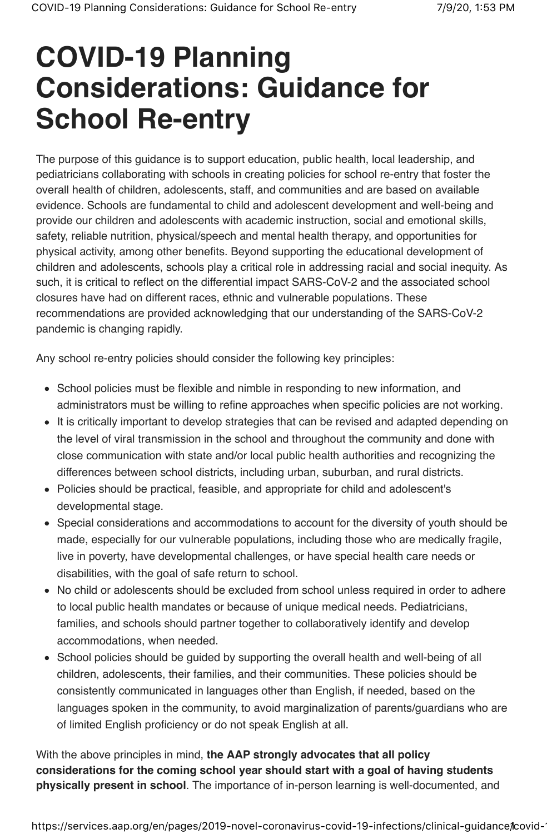# **COVID-19 Planning Considerations: Guidance for School Re-entry**

The purpose of this guidance is to support education, public health, local leadership, and pediatricians collaborating with schools in creating policies for school re-entry that foster the overall health of children, adolescents, staff, and communities and are based on available evidence. Schools are fundamental to child and adolescent development and well-being and provide our children and adolescents with academic instruction, social and emotional skills, safety, reliable nutrition, physical/speech and mental health therapy, and opportunities for physical activity, among other benefits. Beyond supporting the educational development of children and adolescents, schools play a critical role in addressing racial and social inequity. As such, it is critical to reflect on the differential impact SARS-CoV-2 and the associated school closures have had on different races, ethnic and vulnerable populations. These recommendations are provided acknowledging that our understanding of the SARS-CoV-2 pandemic is changing rapidly.

Any school re-entry policies should consider the following key principles:

- School policies must be flexible and nimble in responding to new information, and administrators must be willing to refine approaches when specific policies are not working.
- It is critically important to develop strategies that can be revised and adapted depending on the level of viral transmission in the school and throughout the community and done with close communication with state and/or local public health authorities and recognizing the differences between school districts, including urban, suburban, and rural districts.
- Policies should be practical, feasible, and appropriate for child and adolescent's developmental stage.
- Special considerations and accommodations to account for the diversity of youth should be made, especially for our vulnerable populations, including those who are medically fragile, live in poverty, have developmental challenges, or have special health care needs or disabilities, with the goal of safe return to school.
- No child or adolescents should be excluded from school unless required in order to adhere to local public health mandates or because of unique medical needs. Pediatricians, families, and schools should partner together to collaboratively identify and develop accommodations, when needed.
- School policies should be guided by supporting the overall health and well-being of all children, adolescents, their families, and their communities. These policies should be consistently communicated in languages other than English, if needed, based on the languages spoken in the community, to avoid marginalization of parents/guardians who are of limited English proficiency or do not speak English at all.

With the above principles in mind, **the AAP strongly advocates that all policy considerations for the coming school year should start with a goal of having students physically present in school**. The importance of in-person learning is well-documented, and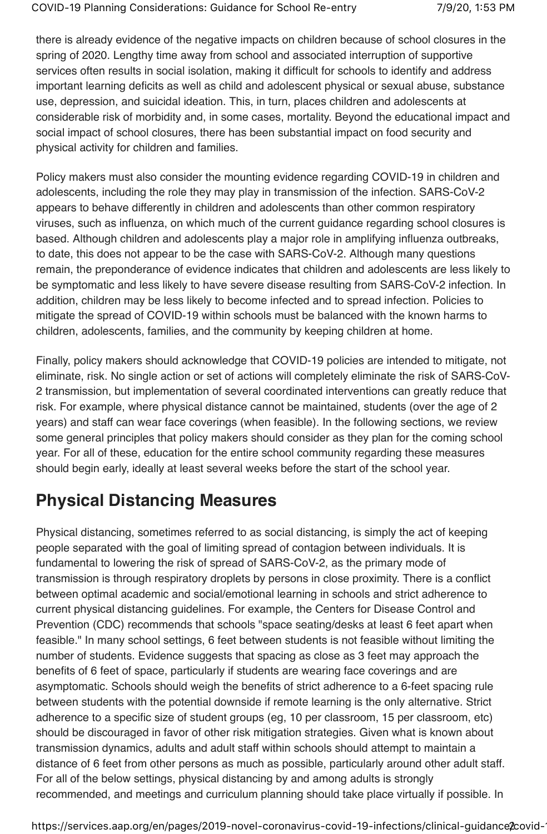there is already evidence of the negative impacts on children because of school closures in the spring of 2020. Lengthy time away from school and associated interruption of supportive services often results in social isolation, making it difficult for schools to identify and address important learning deficits as well as child and adolescent physical or sexual abuse, substance use, depression, and suicidal ideation. This, in turn, places children and adolescents at considerable risk of morbidity and, in some cases, mortality. Beyond the educational impact and social impact of school closures, there has been substantial impact on food security and physical activity for children and families.

Policy makers must also consider the mounting evidence regarding COVID-19 in children and adolescents, including the role they may play in transmission of the infection. SARS-CoV-2 appears to behave differently in children and adolescents than other common respiratory viruses, such as influenza, on which much of the current guidance regarding school closures is based. Although children and adolescents play a major role in amplifying influenza outbreaks, to date, this does not appear to be the case with SARS-CoV-2. Although many questions remain, the preponderance of evidence indicates that children and adolescents are less likely to be symptomatic and less likely to have severe disease resulting from SARS-CoV-2 infection. In addition, children may be less likely to become infected and to spread infection. Policies to mitigate the spread of COVID-19 within schools must be balanced with the known harms to children, adolescents, families, and the community by keeping children at home.

Finally, policy makers should acknowledge that COVID-19 policies are intended to mitigate, not eliminate, risk. No single action or set of actions will completely eliminate the risk of SARS-CoV-2 transmission, but implementation of several coordinated interventions can greatly reduce that risk. For example, where physical distance cannot be maintained, students (over the age of 2 years) and staff can wear face coverings (when feasible). In the following sections, we review some general principles that policy makers should consider as they plan for the coming school year. For all of these, education for the entire school community regarding these measures should begin early, ideally at least several weeks before the start of the school year.

# **Physical Distancing Measures**

Physical distancing, sometimes referred to as social distancing, is simply the act of keeping people separated with the goal of limiting spread of contagion between individuals. It is fundamental to lowering the risk of spread of SARS-CoV-2, as the primary mode of transmission is through respiratory droplets by persons in close proximity. There is a conflict between optimal academic and social/emotional learning in schools and strict adherence to current physical distancing guidelines. For example, the Centers for Disease Control and Prevention (CDC) recommends that schools "space seating/desks at least 6 feet apart when feasible." In many school settings, 6 feet between students is not feasible without limiting the number of students. Evidence suggests that spacing as close as 3 feet may approach the benefits of 6 feet of space, particularly if students are wearing face coverings and are asymptomatic. Schools should weigh the benefits of strict adherence to a 6-feet spacing rule between students with the potential downside if remote learning is the only alternative. Strict adherence to a specific size of student groups (eg, 10 per classroom, 15 per classroom, etc) should be discouraged in favor of other risk mitigation strategies. Given what is known about transmission dynamics, adults and adult staff within schools should attempt to maintain a distance of 6 feet from other persons as much as possible, particularly around other adult staff. For all of the below settings, physical distancing by and among adults is strongly recommended, and meetings and curriculum planning should take place virtually if possible. In

https://services.aap.org/en/pages/2019-novel-coronavirus-covid-19-infections/clinical-guidance2covid-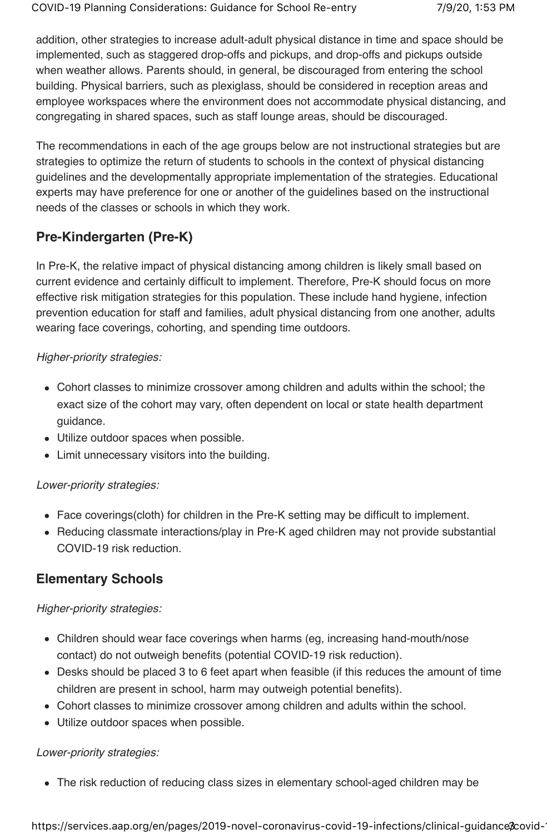addition, other strategies to increase adult-adult physical distance in time and space should be implemented, such as staggered drop-offs and pickups, and drop-offs and pickups outside when weather allows. Parents should, in general, be discouraged from entering the school building. Physical barriers, such as plexiglass, should be considered in reception areas and employee workspaces where the environment does not accommodate physical distancing, and congregating in shared spaces, such as staff lounge areas, should be discouraged.

The recommendations in each of the age groups below are not instructional strategies but are strategies to optimize the return of students to schools in the context of physical distancing guidelines and the developmentally appropriate implementation of the strategies. Educational experts may have preference for one or another of the guidelines based on the instructional needs of the classes or schools in which they work.

# **Pre-Kindergarten (Pre-K)**

In Pre-K, the relative impact of physical distancing among children is likely small based on current evidence and certainly difficult to implement. Therefore, Pre-K should focus on more effective risk mitigation strategies for this population. These include hand hygiene, infection prevention education for staff and families, adult physical distancing from one another, adults wearing face coverings, cohorting, and spending time outdoors.

#### Higher-priority strategies:

- Cohort classes to minimize crossover among children and adults within the school; the exact size of the cohort may vary, often dependent on local or state health department guidance.
- Utilize outdoor spaces when possible.
- Limit unnecessary visitors into the building.

#### Lower-priority strategies:

- Face coverings(cloth) for children in the Pre-K setting may be difficult to implement.
- Reducing classmate interactions/play in Pre-K aged children may not provide substantial COVID-19 risk reduction.

# **Elementary Schools**

#### Higher-priority strategies:

- Children should wear face coverings when harms (eg, increasing hand-mouth/nose contact) do not outweigh benefits (potential COVID-19 risk reduction).
- Desks should be placed 3 to 6 feet apart when feasible (if this reduces the amount of time children are present in school, harm may outweigh potential benefits).
- Cohort classes to minimize crossover among children and adults within the school.
- Utilize outdoor spaces when possible.

#### Lower-priority strategies:

The risk reduction of reducing class sizes in elementary school-aged children may be

https://services.aap.org/en/pages/2019-novel-coronavirus-covid-19-infections/clinical-guidance ?covid-1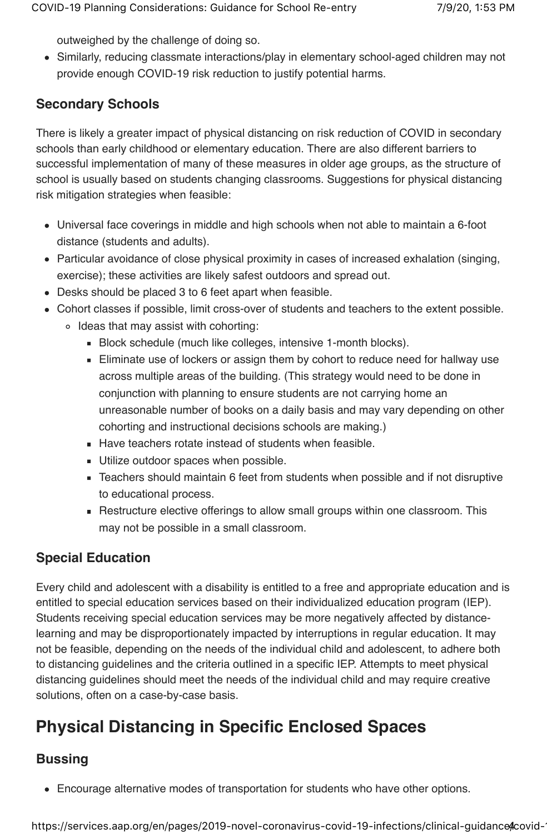outweighed by the challenge of doing so.

Similarly, reducing classmate interactions/play in elementary school-aged children may not provide enough COVID-19 risk reduction to justify potential harms.

# **Secondary Schools**

There is likely a greater impact of physical distancing on risk reduction of COVID in secondary schools than early childhood or elementary education. There are also different barriers to successful implementation of many of these measures in older age groups, as the structure of school is usually based on students changing classrooms. Suggestions for physical distancing risk mitigation strategies when feasible:

- Universal face coverings in middle and high schools when not able to maintain a 6-foot distance (students and adults).
- Particular avoidance of close physical proximity in cases of increased exhalation (singing, exercise); these activities are likely safest outdoors and spread out.
- Desks should be placed 3 to 6 feet apart when feasible.
- Cohort classes if possible, limit cross-over of students and teachers to the extent possible. o Ideas that may assist with cohorting:
	- Block schedule (much like colleges, intensive 1-month blocks).
	- **Eliminate use of lockers or assign them by cohort to reduce need for hallway use** across multiple areas of the building. (This strategy would need to be done in conjunction with planning to ensure students are not carrying home an unreasonable number of books on a daily basis and may vary depending on other cohorting and instructional decisions schools are making.)
	- Have teachers rotate instead of students when feasible.
	- **Utilize outdoor spaces when possible.**
	- Teachers should maintain 6 feet from students when possible and if not disruptive to educational process.
	- Restructure elective offerings to allow small groups within one classroom. This may not be possible in a small classroom.

# **Special Education**

Every child and adolescent with a disability is entitled to a free and appropriate education and is entitled to special education services based on their individualized education program (IEP). Students receiving special education services may be more negatively affected by distancelearning and may be disproportionately impacted by interruptions in regular education. It may not be feasible, depending on the needs of the individual child and adolescent, to adhere both to distancing guidelines and the criteria outlined in a specific IEP. Attempts to meet physical distancing guidelines should meet the needs of the individual child and may require creative solutions, often on a case-by-case basis.

# **Physical Distancing in Specific Enclosed Spaces**

# **Bussing**

Encourage alternative modes of transportation for students who have other options.

https://services.aap.org/en/pages/2019-novel-coronavirus-covid-19-infections/clinical-guidance Acovid-1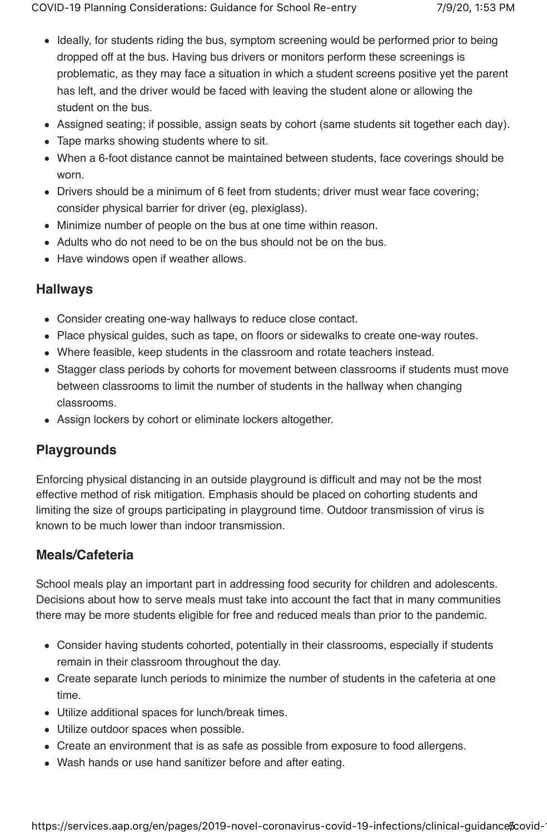- Ideally, for students riding the bus, symptom screening would be performed prior to being dropped off at the bus. Having bus drivers or monitors perform these screenings is problematic, as they may face a situation in which a student screens positive yet the parent has left, and the driver would be faced with leaving the student alone or allowing the student on the bus.
- Assigned seating; if possible, assign seats by cohort (same students sit together each day).
- Tape marks showing students where to sit.
- When a 6-foot distance cannot be maintained between students, face coverings should be worn.
- Drivers should be a minimum of 6 feet from students; driver must wear face covering; consider physical barrier for driver (eg, plexiglass).
- Minimize number of people on the bus at one time within reason.
- Adults who do not need to be on the bus should not be on the bus.
- Have windows open if weather allows.

### **Hallways**

- Consider creating one-way hallways to reduce close contact.
- Place physical guides, such as tape, on floors or sidewalks to create one-way routes.
- Where feasible, keep students in the classroom and rotate teachers instead.
- Stagger class periods by cohorts for movement between classrooms if students must move between classrooms to limit the number of students in the hallway when changing classrooms.
- Assign lockers by cohort or eliminate lockers altogether.

# **Playgrounds**

Enforcing physical distancing in an outside playground is difficult and may not be the most effective method of risk mitigation. Emphasis should be placed on cohorting students and limiting the size of groups participating in playground time. Outdoor transmission of virus is known to be much lower than indoor transmission.

# **Meals/Cafeteria**

School meals play an important part in addressing food security for children and adolescents. Decisions about how to serve meals must take into account the fact that in many communities there may be more students eligible for free and reduced meals than prior to the pandemic.

- Consider having students cohorted, potentially in their classrooms, especially if students remain in their classroom throughout the day.
- Create separate lunch periods to minimize the number of students in the cafeteria at one time.
- Utilize additional spaces for lunch/break times.
- Utilize outdoor spaces when possible.
- Create an environment that is as safe as possible from exposure to food allergens.
- Wash hands or use hand sanitizer before and after eating.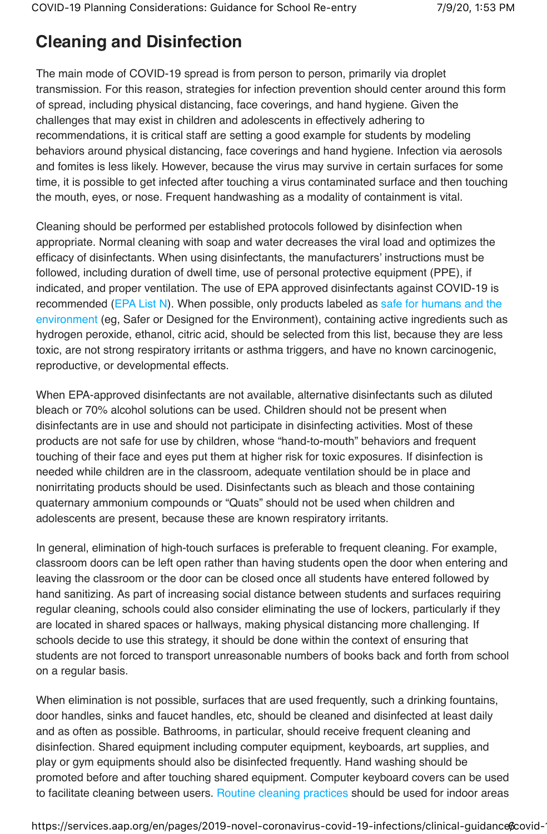# **Cleaning and Disinfection**

The main mode of COVID-19 spread is from person to person, primarily via droplet transmission. For this reason, strategies for infection prevention should center around this form of spread, including physical distancing, face coverings, and hand hygiene. Given the challenges that may exist in children and adolescents in effectively adhering to recommendations, it is critical staff are setting a good example for students by modeling behaviors around physical distancing, face coverings and hand hygiene. Infection via aerosols and fomites is less likely. However, because the virus may survive in certain surfaces for some time, it is possible to get infected after touching a virus contaminated surface and then touching the mouth, eyes, or nose. Frequent handwashing as a modality of containment is vital.

Cleaning should be performed per established protocols followed by disinfection when appropriate. Normal cleaning with soap and water decreases the viral load and optimizes the efficacy of disinfectants. When using disinfectants, the manufacturers' instructions must be followed, including duration of dwell time, use of personal protective equipment (PPE), if indicated, and proper ventilation. The use of EPA approved disinfectants against COVID-19 is recommended (EPA List N). When possible, only products labeled as safe for humans and the environment (eg, Safer or Designed for the Environment), containing active ingredients such as hydrogen peroxide, ethanol, citric acid, should be selected from this list, because they are less toxic, are not strong respiratory irritants or asthma triggers, and have no known carcinogenic, reproductive, or developmental effects.

When EPA-approved disinfectants are not available, alternative disinfectants such as diluted bleach or 70% alcohol solutions can be used. Children should not be present when disinfectants are in use and should not participate in disinfecting activities. Most of these products are not safe for use by children, whose "hand-to-mouth" behaviors and frequent touching of their face and eyes put them at higher risk for toxic exposures. If disinfection is needed while children are in the classroom, adequate ventilation should be in place and nonirritating products should be used. Disinfectants such as bleach and those containing quaternary ammonium compounds or "Quats" should not be used when children and adolescents are present, because these are known respiratory irritants.

In general, elimination of high-touch surfaces is preferable to frequent cleaning. For example, classroom doors can be left open rather than having students open the door when entering and leaving the classroom or the door can be closed once all students have entered followed by hand sanitizing. As part of increasing social distance between students and surfaces requiring regular cleaning, schools could also consider eliminating the use of lockers, particularly if they are located in shared spaces or hallways, making physical distancing more challenging. If schools decide to use this strategy, it should be done within the context of ensuring that students are not forced to transport unreasonable numbers of books back and forth from school on a regular basis.

When elimination is not possible, surfaces that are used frequently, such a drinking fountains, door handles, sinks and faucet handles, etc, should be cleaned and disinfected at least daily and as often as possible. Bathrooms, in particular, should receive frequent cleaning and disinfection. Shared equipment including computer equipment, keyboards, art supplies, and play or gym equipments should also be disinfected frequently. Hand washing should be promoted before and after touching shared equipment. Computer keyboard covers can be used to facilitate cleaning between users. Routine cleaning practices should be used for indoor areas

https://services.aap.org/en/pages/2019-novel-coronavirus-covid-19-infections/clinical-guidance covid-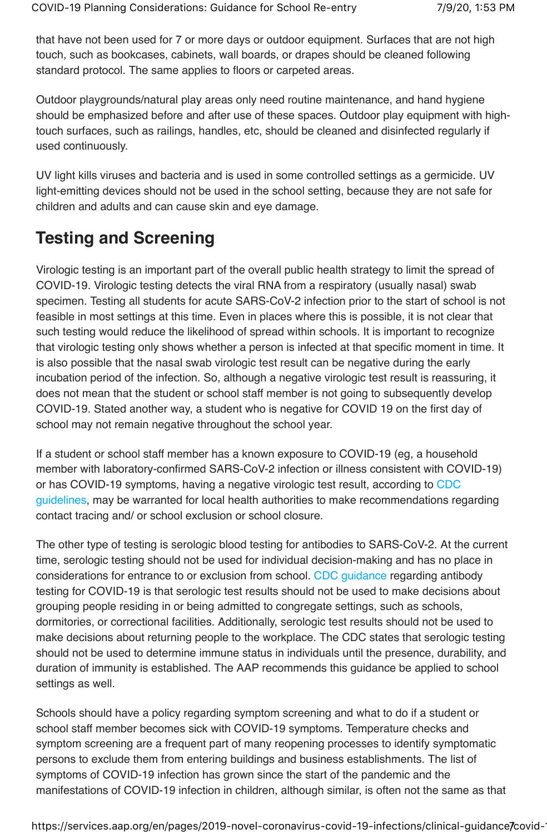that have not been used for 7 or more days or outdoor equipment. Surfaces that are not high touch, such as bookcases, cabinets, wall boards, or drapes should be cleaned following standard protocol. The same applies to floors or carpeted areas.

Outdoor playgrounds/natural play areas only need routine maintenance, and hand hygiene should be emphasized before and after use of these spaces. Outdoor play equipment with hightouch surfaces, such as railings, handles, etc, should be cleaned and disinfected regularly if used continuously.

UV light kills viruses and bacteria and is used in some controlled settings as a germicide. UV light-emitting devices should not be used in the school setting, because they are not safe for children and adults and can cause skin and eye damage.

# **Testing and Screening**

Virologic testing is an important part of the overall public health strategy to limit the spread of COVID-19. Virologic testing detects the viral RNA from a respiratory (usually nasal) swab specimen. Testing all students for acute SARS-CoV-2 infection prior to the start of school is not feasible in most settings at this time. Even in places where this is possible, it is not clear that such testing would reduce the likelihood of spread within schools. It is important to recognize that virologic testing only shows whether a person is infected at that specific moment in time. It is also possible that the nasal swab virologic test result can be negative during the early incubation period of the infection. So, although a negative virologic test result is reassuring, it does not mean that the student or school staff member is not going to subsequently develop COVID-19. Stated another way, a student who is negative for COVID 19 on the first day of school may not remain negative throughout the school year.

If a student or school staff member has a known exposure to COVID-19 (eg, a household member with laboratory-confirmed SARS-CoV-2 infection or illness consistent with COVID-19) or has COVID-19 symptoms, having a negative virologic test result, according to CDC guidelines, may be warranted for local health authorities to make recommendations regarding contact tracing and/ or school exclusion or school closure.

The other type of testing is serologic blood testing for antibodies to SARS-CoV-2. At the current time, serologic testing should not be used for individual decision-making and has no place in considerations for entrance to or exclusion from school. CDC guidance regarding antibody testing for COVID-19 is that serologic test results should not be used to make decisions about grouping people residing in or being admitted to congregate settings, such as schools, dormitories, or correctional facilities. Additionally, serologic test results should not be used to make decisions about returning people to the workplace. The CDC states that serologic testing should not be used to determine immune status in individuals until the presence, durability, and duration of immunity is established. The AAP recommends this guidance be applied to school settings as well.

Schools should have a policy regarding symptom screening and what to do if a student or school staff member becomes sick with COVID-19 symptoms. Temperature checks and symptom screening are a frequent part of many reopening processes to identify symptomatic persons to exclude them from entering buildings and business establishments. The list of symptoms of COVID-19 infection has grown since the start of the pandemic and the manifestations of COVID-19 infection in children, although similar, is often not the same as that

https://services.aap.org/en/pages/2019-novel-coronavirus-covid-19-infections/clinical-guidance/covid-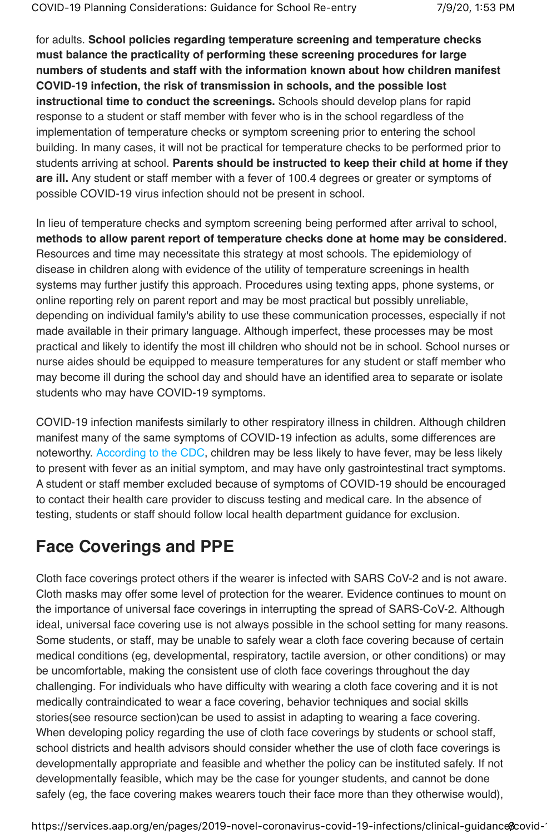for adults. **School policies regarding temperature screening and temperature checks must balance the practicality of performing these screening procedures for large numbers of students and staff with the information known about how children manifest COVID-19 infection, the risk of transmission in schools, and the possible lost instructional time to conduct the screenings.** Schools should develop plans for rapid response to a student or staff member with fever who is in the school regardless of the implementation of temperature checks or symptom screening prior to entering the school building. In many cases, it will not be practical for temperature checks to be performed prior to students arriving at school. **Parents should be instructed to keep their child at home if they are ill.** Any student or staff member with a fever of 100.4 degrees or greater or symptoms of possible COVID-19 virus infection should not be present in school.

In lieu of temperature checks and symptom screening being performed after arrival to school, **methods to allow parent report of temperature checks done at home may be considered.** Resources and time may necessitate this strategy at most schools. The epidemiology of disease in children along with evidence of the utility of temperature screenings in health systems may further justify this approach. Procedures using texting apps, phone systems, or online reporting rely on parent report and may be most practical but possibly unreliable, depending on individual family's ability to use these communication processes, especially if not made available in their primary language. Although imperfect, these processes may be most practical and likely to identify the most ill children who should not be in school. School nurses or nurse aides should be equipped to measure temperatures for any student or staff member who may become ill during the school day and should have an identified area to separate or isolate students who may have COVID-19 symptoms.

COVID-19 infection manifests similarly to other respiratory illness in children. Although children manifest many of the same symptoms of COVID-19 infection as adults, some differences are noteworthy. According to the CDC, children may be less likely to have fever, may be less likely to present with fever as an initial symptom, and may have only gastrointestinal tract symptoms. A student or staff member excluded because of symptoms of COVID-19 should be encouraged to contact their health care provider to discuss testing and medical care. In the absence of testing, students or staff should follow local health department guidance for exclusion.

# **Face Coverings and PPE**

Cloth face coverings protect others if the wearer is infected with SARS CoV-2 and is not aware. Cloth masks may offer some level of protection for the wearer. Evidence continues to mount on the importance of universal face coverings in interrupting the spread of SARS-CoV-2. Although ideal, universal face covering use is not always possible in the school setting for many reasons. Some students, or staff, may be unable to safely wear a cloth face covering because of certain medical conditions (eg, developmental, respiratory, tactile aversion, or other conditions) or may be uncomfortable, making the consistent use of cloth face coverings throughout the day challenging. For individuals who have difficulty with wearing a cloth face covering and it is not medically contraindicated to wear a face covering, behavior techniques and social skills stories(see resource section)can be used to assist in adapting to wearing a face covering. When developing policy regarding the use of cloth face coverings by students or school staff, school districts and health advisors should consider whether the use of cloth face coverings is developmentally appropriate and feasible and whether the policy can be instituted safely. If not developmentally feasible, which may be the case for younger students, and cannot be done safely (eg, the face covering makes wearers touch their face more than they otherwise would),

https://services.aap.org/en/pages/2019-novel-coronavirus-covid-19-infections/clinical-guidance % covid-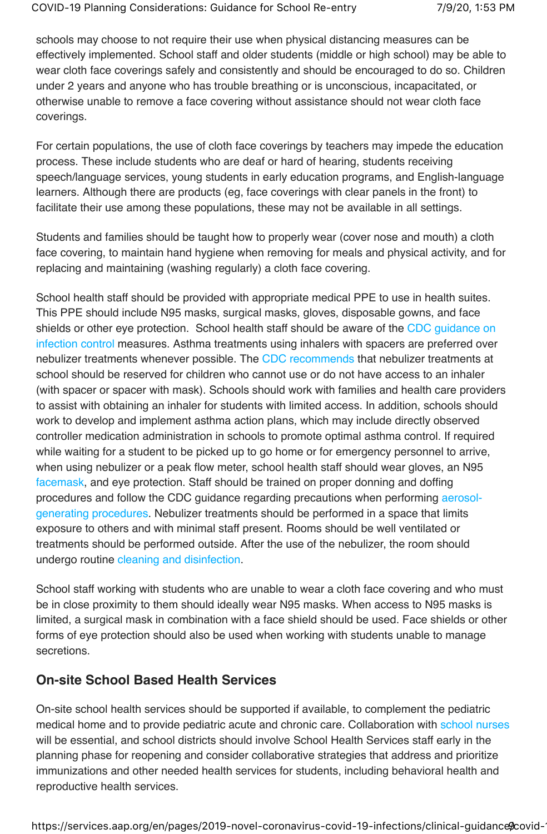schools may choose to not require their use when physical distancing measures can be effectively implemented. School staff and older students (middle or high school) may be able to wear cloth face coverings safely and consistently and should be encouraged to do so. Children under 2 years and anyone who has trouble breathing or is unconscious, incapacitated, or otherwise unable to remove a face covering without assistance should not wear cloth face coverings.

For certain populations, the use of cloth face coverings by teachers may impede the education process. These include students who are deaf or hard of hearing, students receiving speech/language services, young students in early education programs, and English-language learners. Although there are products (eg, face coverings with clear panels in the front) to facilitate their use among these populations, these may not be available in all settings.

Students and families should be taught how to properly wear (cover nose and mouth) a cloth face covering, to maintain hand hygiene when removing for meals and physical activity, and for replacing and maintaining (washing regularly) a cloth face covering.

School health staff should be provided with appropriate medical PPE to use in health suites. This PPE should include N95 masks, surgical masks, gloves, disposable gowns, and face shields or other eye protection. School health staff should be aware of the CDC guidance on infection control measures. Asthma treatments using inhalers with spacers are preferred over nebulizer treatments whenever possible. The CDC recommends that nebulizer treatments at school should be reserved for children who cannot use or do not have access to an inhaler (with spacer or spacer with mask). Schools should work with families and health care providers to assist with obtaining an inhaler for students with limited access. In addition, schools should work to develop and implement asthma action plans, which may include directly observed controller medication administration in schools to promote optimal asthma control. If required while waiting for a student to be picked up to go home or for emergency personnel to arrive, when using nebulizer or a peak flow meter, school health staff should wear gloves, an N95 facemask, and eye protection. Staff should be trained on proper donning and doffing procedures and follow the CDC guidance regarding precautions when performing aerosolgenerating procedures. Nebulizer treatments should be performed in a space that limits exposure to others and with minimal staff present. Rooms should be well ventilated or treatments should be performed outside. After the use of the nebulizer, the room should undergo routine cleaning and disinfection.

School staff working with students who are unable to wear a cloth face covering and who must be in close proximity to them should ideally wear N95 masks. When access to N95 masks is limited, a surgical mask in combination with a face shield should be used. Face shields or other forms of eye protection should also be used when working with students unable to manage secretions.

#### **On-site School Based Health Services**

On-site school health services should be supported if available, to complement the pediatric medical home and to provide pediatric acute and chronic care. Collaboration with school nurses will be essential, and school districts should involve School Health Services staff early in the planning phase for reopening and consider collaborative strategies that address and prioritize immunizations and other needed health services for students, including behavioral health and reproductive health services.

https://services.aap.org/en/pages/2019-novel-coronavirus-covid-19-infections/clinical-guidance (covid-19)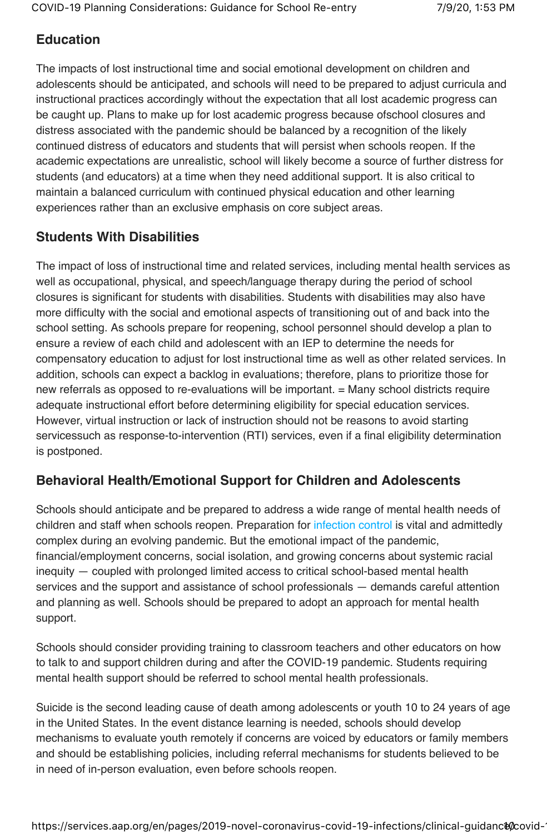## **Education**

The impacts of lost instructional time and social emotional development on children and adolescents should be anticipated, and schools will need to be prepared to adjust curricula and instructional practices accordingly without the expectation that all lost academic progress can be caught up. Plans to make up for lost academic progress because ofschool closures and distress associated with the pandemic should be balanced by a recognition of the likely continued distress of educators and students that will persist when schools reopen. If the academic expectations are unrealistic, school will likely become a source of further distress for students (and educators) at a time when they need additional support. It is also critical to maintain a balanced curriculum with continued physical education and other learning experiences rather than an exclusive emphasis on core subject areas.

# **Students With Disabilities**

The impact of loss of instructional time and related services, including mental health services as well as occupational, physical, and speech/language therapy during the period of school closures is significant for students with disabilities. Students with disabilities may also have more difficulty with the social and emotional aspects of transitioning out of and back into the school setting. As schools prepare for reopening, school personnel should develop a plan to ensure a review of each child and adolescent with an IEP to determine the needs for compensatory education to adjust for lost instructional time as well as other related services. In addition, schools can expect a backlog in evaluations; therefore, plans to prioritize those for new referrals as opposed to re-evaluations will be important. = Many school districts require adequate instructional effort before determining eligibility for special education services. However, virtual instruction or lack of instruction should not be reasons to avoid starting servicessuch as response-to-intervention (RTI) services, even if a final eligibility determination is postponed.

# **Behavioral Health/Emotional Support for Children and Adolescents**

Schools should anticipate and be prepared to address a wide range of mental health needs of children and staff when schools reopen. Preparation for *infection control is vital and admittedly* complex during an evolving pandemic. But the emotional impact of the pandemic, financial/employment concerns, social isolation, and growing concerns about systemic racial inequity — coupled with prolonged limited access to critical school-based mental health services and the support and assistance of school professionals — demands careful attention and planning as well. Schools should be prepared to adopt an approach for mental health support.

Schools should consider providing training to classroom teachers and other educators on how to talk to and support children during and after the COVID-19 pandemic. Students requiring mental health support should be referred to school mental health professionals.

Suicide is the second leading cause of death among adolescents or youth 10 to 24 years of age in the United States. In the event distance learning is needed, schools should develop mechanisms to evaluate youth remotely if concerns are voiced by educators or family members and should be establishing policies, including referral mechanisms for students believed to be in need of in-person evaluation, even before schools reopen.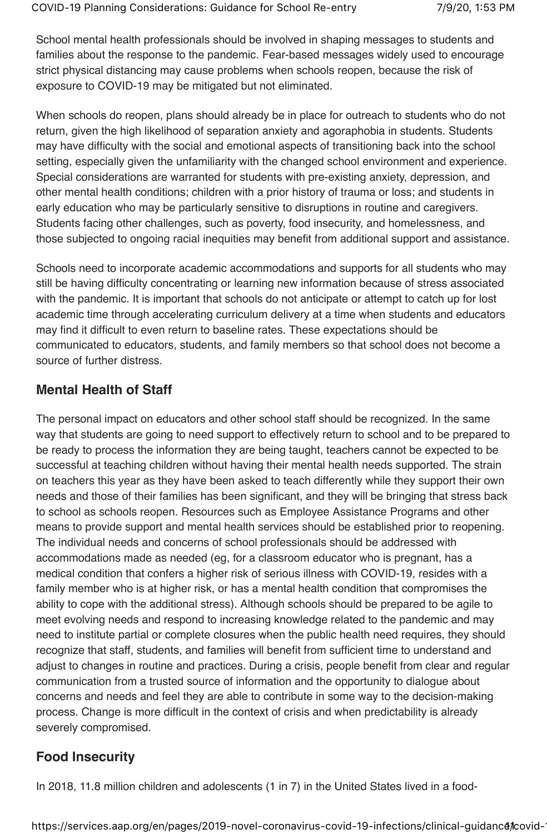School mental health professionals should be involved in shaping messages to students and families about the response to the pandemic. Fear-based messages widely used to encourage strict physical distancing may cause problems when schools reopen, because the risk of exposure to COVID-19 may be mitigated but not eliminated.

When schools do reopen, plans should already be in place for outreach to students who do not return, given the high likelihood of separation anxiety and agoraphobia in students. Students may have difficulty with the social and emotional aspects of transitioning back into the school setting, especially given the unfamiliarity with the changed school environment and experience. Special considerations are warranted for students with pre-existing anxiety, depression, and other mental health conditions; children with a prior history of trauma or loss; and students in early education who may be particularly sensitive to disruptions in routine and caregivers. Students facing other challenges, such as poverty, food insecurity, and homelessness, and those subjected to ongoing racial inequities may benefit from additional support and assistance.

Schools need to incorporate academic accommodations and supports for all students who may still be having difficulty concentrating or learning new information because of stress associated with the pandemic. It is important that schools do not anticipate or attempt to catch up for lost academic time through accelerating curriculum delivery at a time when students and educators may find it difficult to even return to baseline rates. These expectations should be communicated to educators, students, and family members so that school does not become a source of further distress.

#### **Mental Health of Staff**

The personal impact on educators and other school staff should be recognized. In the same way that students are going to need support to effectively return to school and to be prepared to be ready to process the information they are being taught, teachers cannot be expected to be successful at teaching children without having their mental health needs supported. The strain on teachers this year as they have been asked to teach differently while they support their own needs and those of their families has been significant, and they will be bringing that stress back to school as schools reopen. Resources such as Employee Assistance Programs and other means to provide support and mental health services should be established prior to reopening. The individual needs and concerns of school professionals should be addressed with accommodations made as needed (eg, for a classroom educator who is pregnant, has a medical condition that confers a higher risk of serious illness with COVID-19, resides with a family member who is at higher risk, or has a mental health condition that compromises the ability to cope with the additional stress). Although schools should be prepared to be agile to meet evolving needs and respond to increasing knowledge related to the pandemic and may need to institute partial or complete closures when the public health need requires, they should recognize that staff, students, and families will benefit from sufficient time to understand and adjust to changes in routine and practices. During a crisis, people benefit from clear and regular communication from a trusted source of information and the opportunity to dialogue about concerns and needs and feel they are able to contribute in some way to the decision-making process. Change is more difficult in the context of crisis and when predictability is already severely compromised.

#### **Food Insecurity**

In 2018, 11.8 million children and adolescents (1 in 7) in the United States lived in a food-

https://services.aap.org/en/pages/2019-novel-coronavirus-covid-19-infections/clinical-guidance/covid-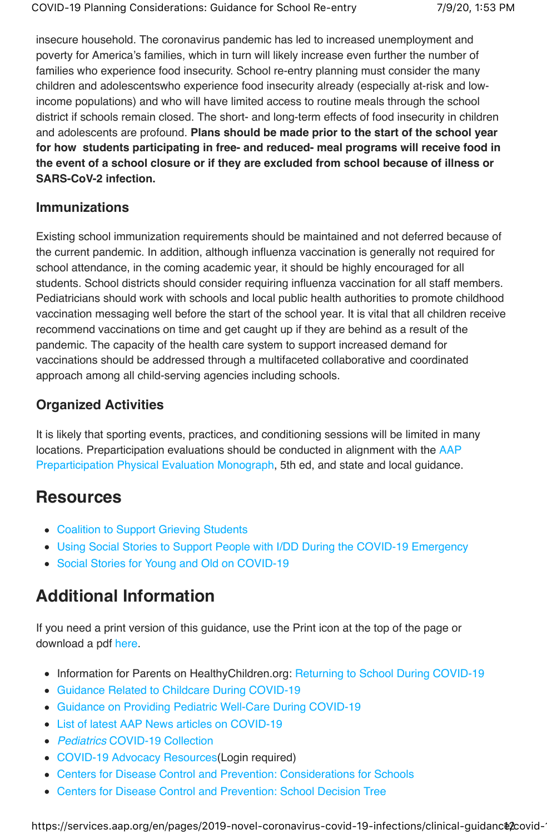insecure household. The coronavirus pandemic has led to increased unemployment and poverty for America's families, which in turn will likely increase even further the number of families who experience food insecurity. School re-entry planning must consider the many children and adolescentswho experience food insecurity already (especially at-risk and lowincome populations) and who will have limited access to routine meals through the school district if schools remain closed. The short- and long-term effects of food insecurity in children and adolescents are profound. **Plans should be made prior to the start of the school year for how students participating in free- and reduced- meal programs will receive food in the event of a school closure or if they are excluded from school because of illness or SARS-CoV-2 infection.**

### **Immunizations**

Existing school immunization requirements should be maintained and not deferred because of the current pandemic. In addition, although influenza vaccination is generally not required for school attendance, in the coming academic year, it should be highly encouraged for all students. School districts should consider requiring influenza vaccination for all staff members. Pediatricians should work with schools and local public health authorities to promote childhood vaccination messaging well before the start of the school year. It is vital that all children receive recommend vaccinations on time and get caught up if they are behind as a result of the pandemic. The capacity of the health care system to support increased demand for vaccinations should be addressed through a multifaceted collaborative and coordinated approach among all child-serving agencies including schools.

# **Organized Activities**

It is likely that sporting events, practices, and conditioning sessions will be limited in many locations. Preparticipation evaluations should be conducted in alignment with the AAP Preparticipation Physical Evaluation Monograph, 5th ed, and state and local guidance.

# **Resources**

- Coalition to Support Grieving Students
- Using Social Stories to Support People with I/DD During the COVID-19 Emergency
- Social Stories for Young and Old on COVID-19

# **Additional Information**

If you need a print version of this guidance, use the Print icon at the top of the page or download a pdf here.

- Information for Parents on HealthyChildren.org: Returning to School During COVID-19
- Guidance Related to Childcare During COVID-19
- Guidance on Providing Pediatric Well-Care During COVID-19
- List of latest AAP News articles on COVID-19
- Pediatrics COVID-19 Collection
- COVID-19 Advocacy Resources(Login required)
- Centers for Disease Control and Prevention: Considerations for Schools
- Centers for Disease Control and Prevention: School Decision Tree

https://services.aap.org/en/pages/2019-novel-coronavirus-covid-19-infections/clinical-guidanc@2covid-